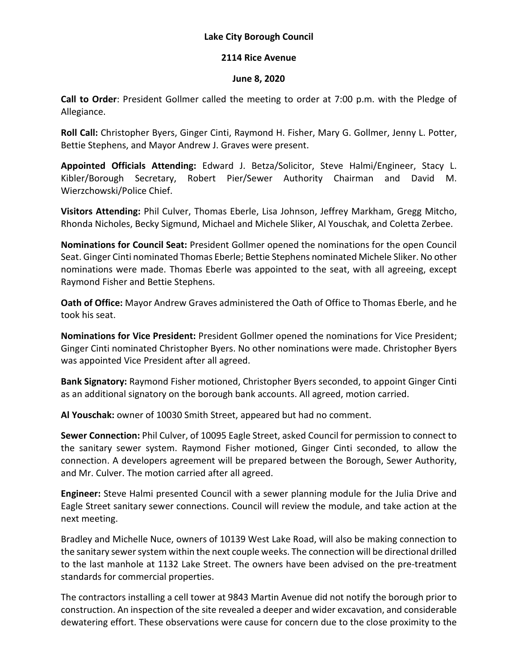## **Lake City Borough Council**

## **2114 Rice Avenue**

## **June 8, 2020**

**Call to Order**: President Gollmer called the meeting to order at 7:00 p.m. with the Pledge of Allegiance.

**Roll Call:** Christopher Byers, Ginger Cinti, Raymond H. Fisher, Mary G. Gollmer, Jenny L. Potter, Bettie Stephens, and Mayor Andrew J. Graves were present.

**Appointed Officials Attending:** Edward J. Betza/Solicitor, Steve Halmi/Engineer, Stacy L. Kibler/Borough Secretary, Robert Pier/Sewer Authority Chairman and David M. Wierzchowski/Police Chief.

**Visitors Attending:** Phil Culver, Thomas Eberle, Lisa Johnson, Jeffrey Markham, Gregg Mitcho, Rhonda Nicholes, Becky Sigmund, Michael and Michele Sliker, Al Youschak, and Coletta Zerbee.

**Nominations for Council Seat:** President Gollmer opened the nominations for the open Council Seat. Ginger Cinti nominated Thomas Eberle; Bettie Stephens nominated Michele Sliker. No other nominations were made. Thomas Eberle was appointed to the seat, with all agreeing, except Raymond Fisher and Bettie Stephens.

**Oath of Office:** Mayor Andrew Graves administered the Oath of Office to Thomas Eberle, and he took his seat.

**Nominations for Vice President:** President Gollmer opened the nominations for Vice President; Ginger Cinti nominated Christopher Byers. No other nominations were made. Christopher Byers was appointed Vice President after all agreed.

**Bank Signatory:** Raymond Fisher motioned, Christopher Byers seconded, to appoint Ginger Cinti as an additional signatory on the borough bank accounts. All agreed, motion carried.

**Al Youschak:** owner of 10030 Smith Street, appeared but had no comment.

**Sewer Connection:** Phil Culver, of 10095 Eagle Street, asked Council for permission to connect to the sanitary sewer system. Raymond Fisher motioned, Ginger Cinti seconded, to allow the connection. A developers agreement will be prepared between the Borough, Sewer Authority, and Mr. Culver. The motion carried after all agreed.

**Engineer:** Steve Halmi presented Council with a sewer planning module for the Julia Drive and Eagle Street sanitary sewer connections. Council will review the module, and take action at the next meeting.

Bradley and Michelle Nuce, owners of 10139 West Lake Road, will also be making connection to the sanitary sewer system within the next couple weeks. The connection will be directional drilled to the last manhole at 1132 Lake Street. The owners have been advised on the pre-treatment standards for commercial properties.

The contractors installing a cell tower at 9843 Martin Avenue did not notify the borough prior to construction. An inspection of the site revealed a deeper and wider excavation, and considerable dewatering effort. These observations were cause for concern due to the close proximity to the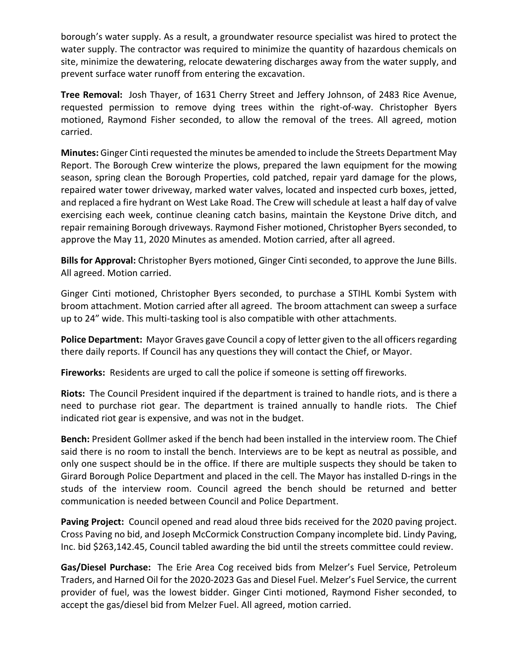borough's water supply. As a result, a groundwater resource specialist was hired to protect the water supply. The contractor was required to minimize the quantity of hazardous chemicals on site, minimize the dewatering, relocate dewatering discharges away from the water supply, and prevent surface water runoff from entering the excavation.

**Tree Removal:** Josh Thayer, of 1631 Cherry Street and Jeffery Johnson, of 2483 Rice Avenue, requested permission to remove dying trees within the right-of-way. Christopher Byers motioned, Raymond Fisher seconded, to allow the removal of the trees. All agreed, motion carried.

**Minutes:** Ginger Cinti requested the minutes be amended to include the Streets Department May Report. The Borough Crew winterize the plows, prepared the lawn equipment for the mowing season, spring clean the Borough Properties, cold patched, repair yard damage for the plows, repaired water tower driveway, marked water valves, located and inspected curb boxes, jetted, and replaced a fire hydrant on West Lake Road. The Crew will schedule at least a half day of valve exercising each week, continue cleaning catch basins, maintain the Keystone Drive ditch, and repair remaining Borough driveways. Raymond Fisher motioned, Christopher Byers seconded, to approve the May 11, 2020 Minutes as amended. Motion carried, after all agreed.

**Bills for Approval:** Christopher Byers motioned, Ginger Cinti seconded, to approve the June Bills. All agreed. Motion carried.

Ginger Cinti motioned, Christopher Byers seconded, to purchase a STIHL Kombi System with broom attachment. Motion carried after all agreed. The broom attachment can sweep a surface up to 24" wide. This multi-tasking tool is also compatible with other attachments.

**Police Department:** Mayor Graves gave Council a copy of letter given to the all officers regarding there daily reports. If Council has any questions they will contact the Chief, or Mayor.

**Fireworks:** Residents are urged to call the police if someone is setting off fireworks.

**Riots:** The Council President inquired if the department is trained to handle riots, and is there a need to purchase riot gear. The department is trained annually to handle riots. The Chief indicated riot gear is expensive, and was not in the budget.

**Bench:** President Gollmer asked if the bench had been installed in the interview room. The Chief said there is no room to install the bench. Interviews are to be kept as neutral as possible, and only one suspect should be in the office. If there are multiple suspects they should be taken to Girard Borough Police Department and placed in the cell. The Mayor has installed D-rings in the studs of the interview room. Council agreed the bench should be returned and better communication is needed between Council and Police Department.

**Paving Project:** Council opened and read aloud three bids received for the 2020 paving project. Cross Paving no bid, and Joseph McCormick Construction Company incomplete bid. Lindy Paving, Inc. bid \$263,142.45, Council tabled awarding the bid until the streets committee could review.

**Gas/Diesel Purchase:** The Erie Area Cog received bids from Melzer's Fuel Service, Petroleum Traders, and Harned Oil for the 2020-2023 Gas and Diesel Fuel. Melzer's Fuel Service, the current provider of fuel, was the lowest bidder. Ginger Cinti motioned, Raymond Fisher seconded, to accept the gas/diesel bid from Melzer Fuel. All agreed, motion carried.